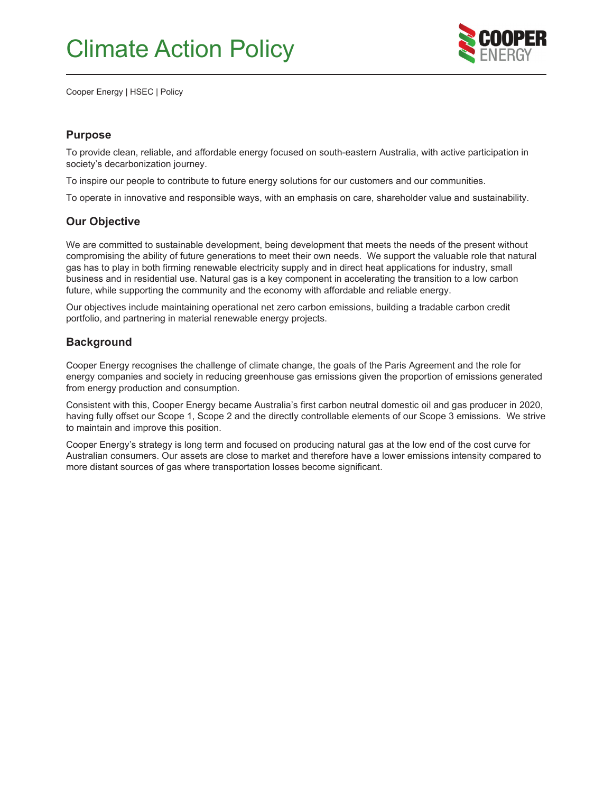

Cooper Energy | HSEC | Policy

### **Purpose**

To provide clean, reliable, and affordable energy focused on south-eastern Australia, with active participation in society's decarbonization journey.

To inspire our people to contribute to future energy solutions for our customers and our communities.

To operate in innovative and responsible ways, with an emphasis on care, shareholder value and sustainability.

### **Our Objective**

We are committed to sustainable development, being development that meets the needs of the present without compromising the ability of future generations to meet their own needs. We support the valuable role that natural gas has to play in both firming renewable electricity supply and in direct heat applications for industry, small business and in residential use. Natural gas is a key component in accelerating the transition to a low carbon future, while supporting the community and the economy with affordable and reliable energy.

Our objectives include maintaining operational net zero carbon emissions, building a tradable carbon credit portfolio, and partnering in material renewable energy projects.

### **Background**

Cooper Energy recognises the challenge of climate change, the goals of the Paris Agreement and the role for energy companies and society in reducing greenhouse gas emissions given the proportion of emissions generated from energy production and consumption.

Consistent with this, Cooper Energy became Australia's first carbon neutral domestic oil and gas producer in 2020, having fully offset our Scope 1, Scope 2 and the directly controllable elements of our Scope 3 emissions. We strive to maintain and improve this position.

Cooper Energy's strategy is long term and focused on producing natural gas at the low end of the cost curve for Australian consumers. Our assets are close to market and therefore have a lower emissions intensity compared to more distant sources of gas where transportation losses become significant.